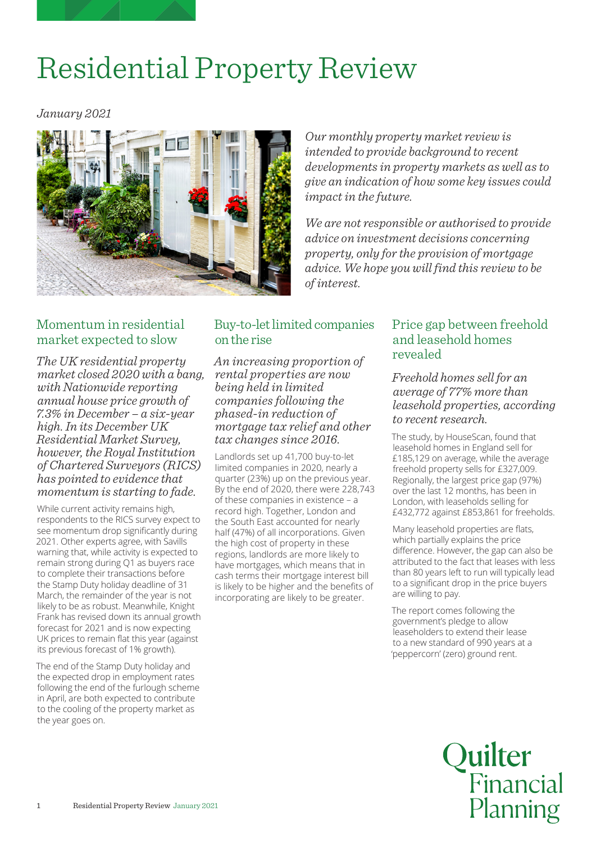# Residential Property Review

*January 2021*



*Our monthly property market review is intended to provide background to recent developments in property markets as well as to give an indication of how some key issues could impact in the future.*

*We are not responsible or authorised to provide advice on investment decisions concerning property, only for the provision of mortgage advice. We hope you will find this review to be of interest.*

#### Momentum in residential market expected to slow

*The UK residential property market closed 2020 with a bang, with Nationwide reporting annual house price growth of 7.3% in December – a six-year high. In its December UK Residential Market Survey, however, the Royal Institution of Chartered Surveyors (RICS) has pointed to evidence that momentum is starting to fade.*

While current activity remains high, respondents to the RICS survey expect to see momentum drop significantly during 2021. Other experts agree, with Savills warning that, while activity is expected to remain strong during Q1 as buyers race to complete their transactions before the Stamp Duty holiday deadline of 31 March, the remainder of the year is not likely to be as robust. Meanwhile, Knight Frank has revised down its annual growth forecast for 2021 and is now expecting UK prices to remain flat this year (against its previous forecast of 1% growth).

The end of the Stamp Duty holiday and the expected drop in employment rates following the end of the furlough scheme in April, are both expected to contribute to the cooling of the property market as the year goes on.

# Buy-to-let limited companies on the rise

*An increasing proportion of rental properties are now being held in limited companies following the phased-in reduction of mortgage tax relief and other tax changes since 2016.*

Landlords set up 41,700 buy-to-let limited companies in 2020, nearly a quarter (23%) up on the previous year. By the end of 2020, there were 228,743 of these companies in existence – a record high. Together, London and the South East accounted for nearly half (47%) of all incorporations. Given the high cost of property in these regions, landlords are more likely to have mortgages, which means that in cash terms their mortgage interest bill is likely to be higher and the benefits of incorporating are likely to be greater.

## Price gap between freehold and leasehold homes revealed

*Freehold homes sell for an average of 77% more than leasehold properties, according to recent research.*

The study, by HouseScan, found that leasehold homes in England sell for £185,129 on average, while the average freehold property sells for £327,009. Regionally, the largest price gap (97%) over the last 12 months, has been in London, with leaseholds selling for £432,772 against £853,861 for freeholds.

Many leasehold properties are flats, which partially explains the price difference. However, the gap can also be attributed to the fact that leases with less than 80 years left to run will typically lead to a significant drop in the price buyers are willing to pay.

The report comes following the government's pledge to allow leaseholders to extend their lease to a new standard of 990 years at a 'peppercorn' (zero) ground rent.